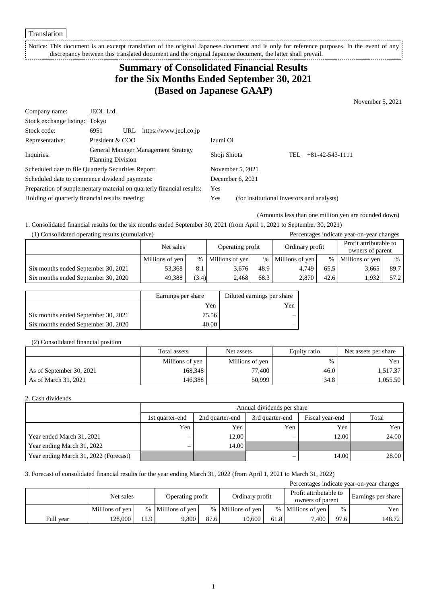Translation

Notice: This document is an excerpt translation of the original Japanese document and is only for reference purposes. In the event of any discrepancy between this translated document and the original Japanese document, the latter shall prevail. 

# **Summary of Consolidated Financial Results for the Six Months Ended September 30, 2021 (Based on Japanese GAAP)**

November 5, 2021

| Company name:                                                         | JEOL Ltd.                           |     |                        |                                            |                           |  |  |
|-----------------------------------------------------------------------|-------------------------------------|-----|------------------------|--------------------------------------------|---------------------------|--|--|
| Stock exchange listing: Tokyo                                         |                                     |     |                        |                                            |                           |  |  |
| Stock code:                                                           | 6951                                | URL | https://www.jeol.co.jp |                                            |                           |  |  |
| Representative:                                                       | President & COO                     |     |                        | Izumi Oi                                   |                           |  |  |
| Inquiries:                                                            | General Manager Management Strategy |     | Shoji Shiota           |                                            | $+81-42-543-1111$<br>TEL. |  |  |
|                                                                       | <b>Planning Division</b>            |     |                        |                                            |                           |  |  |
| Scheduled date to file Quarterly Securities Report:                   |                                     |     | November $5, 2021$     |                                            |                           |  |  |
| Scheduled date to commence dividend payments:                         |                                     |     | December 6, 2021       |                                            |                           |  |  |
| Preparation of supplementary material on quarterly financial results: |                                     | Yes |                        |                                            |                           |  |  |
| Holding of quarterly financial results meeting:                       |                                     |     | Yes                    | (for institutional investors and analysts) |                           |  |  |

(Amounts less than one million yen are rounded down)

1. Consolidated financial results for the six months ended September 30, 2021 (from April 1, 2021 to September 30, 2021)

(1) Consolidated operating results (cumulative) Percentages indicate year-on-year changes

|                                     | Net sales       |       | Operating profit  |      | Ordinary profit |      | Profit attributable to<br>owners of parent |      |
|-------------------------------------|-----------------|-------|-------------------|------|-----------------|------|--------------------------------------------|------|
|                                     | Millions of yen |       | % Millions of yen | $\%$ | Millions of yen | $\%$ | Millions of yen                            | $\%$ |
| Six months ended September 30, 2021 | 53,368          | 8.1   | 3.676             | 48.9 | 4.749           | 65.5 | 3,665                                      | 89.7 |
| Six months ended September 30, 2020 | 49.388          | (3.4) | 2.468             | 68.3 | 2.870           | 42.6 | 1.932                                      | 57.2 |

|                                     | Earnings per share | Diluted earnings per share |
|-------------------------------------|--------------------|----------------------------|
|                                     | Yen                | Yen                        |
| Six months ended September 30, 2021 | 75.56              | —                          |
| Six months ended September 30, 2020 | 40.00              |                            |

#### (2) Consolidated financial position

|                          | Total assets    | Net assets      | Equity ratio | Net assets per share |
|--------------------------|-----------------|-----------------|--------------|----------------------|
|                          | Millions of yen | Millions of yen | $\%$         | Yen                  |
| As of September 30, 2021 | 168,348         | 77.400          | 46.0         | 1,517.37             |
| As of March 31, 2021     | 146,388         | 50,999          | 34.8         | 1,055.50             |

#### 2. Cash dividends

|                                       |                          | Annual dividends per share |                 |                 |       |  |  |
|---------------------------------------|--------------------------|----------------------------|-----------------|-----------------|-------|--|--|
|                                       | 1st quarter-end          | 2nd quarter-end            | 3rd quarter-end | Fiscal year-end | Total |  |  |
|                                       | Yen                      | Yen                        | Yen             | Yen             | Yen   |  |  |
| Year ended March 31, 2021             | —                        | 12.00                      | –               | 12.00           | 24.00 |  |  |
| Year ending March 31, 2022            | $\overline{\phantom{0}}$ | 14.00                      |                 |                 |       |  |  |
| Year ending March 31, 2022 (Forecast) |                          |                            | —               | 14.00           | 28.00 |  |  |

#### 3. Forecast of consolidated financial results for the year ending March 31, 2022 (from April 1, 2021 to March 31, 2022)

| Percentages indicate year-on-year changes |                 |      |                   |      |                   |      |                                            |      |                    |
|-------------------------------------------|-----------------|------|-------------------|------|-------------------|------|--------------------------------------------|------|--------------------|
|                                           | Net sales       |      | Operating profit  |      | Ordinary profit   |      | Profit attributable to<br>owners of parent |      | Earnings per share |
|                                           | Millions of yen |      | % Millions of yen |      | % Millions of yen |      | % Millions of yen                          | %    | Yen                |
| Full year                                 | 128.000         | 15.9 | 9.800             | 87.6 | 10.600            | 61.8 | 7.400                                      | 97.6 | 148.72             |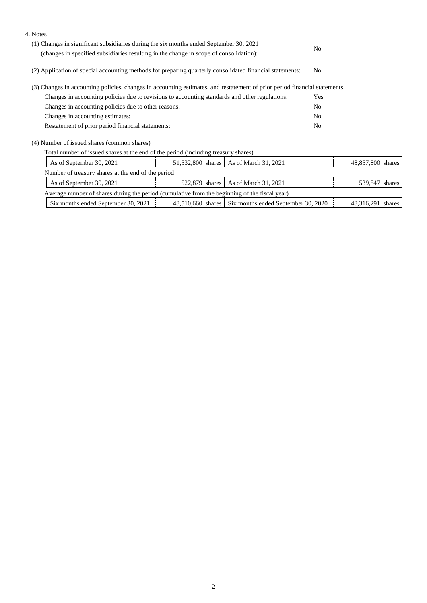| 4. Notes                                                                                                                  |                                                                                                          |                                          |                |                   |  |  |
|---------------------------------------------------------------------------------------------------------------------------|----------------------------------------------------------------------------------------------------------|------------------------------------------|----------------|-------------------|--|--|
| (1) Changes in significant subsidiaries during the six months ended September 30, 2021                                    |                                                                                                          |                                          | N <sub>0</sub> |                   |  |  |
|                                                                                                                           | (changes in specified subsidiaries resulting in the change in scope of consolidation):                   |                                          |                |                   |  |  |
|                                                                                                                           | (2) Application of special accounting methods for preparing quarterly consolidated financial statements: |                                          |                |                   |  |  |
| (3) Changes in accounting policies, changes in accounting estimates, and restatement of prior period financial statements |                                                                                                          |                                          |                |                   |  |  |
| Changes in accounting policies due to revisions to accounting standards and other regulations:                            | Yes                                                                                                      |                                          |                |                   |  |  |
| Changes in accounting policies due to other reasons:                                                                      | N <sub>0</sub>                                                                                           |                                          |                |                   |  |  |
| Changes in accounting estimates:                                                                                          |                                                                                                          | N <sub>0</sub>                           |                |                   |  |  |
| Restatement of prior period financial statements:                                                                         |                                                                                                          |                                          |                |                   |  |  |
| (4) Number of issued shares (common shares)                                                                               |                                                                                                          |                                          |                |                   |  |  |
| Total number of issued shares at the end of the period (including treasury shares)                                        |                                                                                                          |                                          |                |                   |  |  |
| As of September 30, 2021                                                                                                  |                                                                                                          | 51,532,800 shares   As of March 31, 2021 |                | 48,857,800 shares |  |  |
| Number of treasury shares at the end of the period                                                                        |                                                                                                          |                                          |                |                   |  |  |
| As of September 30, 2021                                                                                                  | 522,879 shares                                                                                           | As of March 31, 2021                     |                | 539,847 shares    |  |  |

| Average number of shares during the period (cumulative from the beginning of the fiscal year) |  |                                                       |                   |  |  |
|-----------------------------------------------------------------------------------------------|--|-------------------------------------------------------|-------------------|--|--|
| $\frac{1}{2}$ Six months ended September 30, 2021 $\frac{1}{2}$                               |  | 48,510,660 shares Six months ended September 30, 2020 | 48.316.291 shares |  |  |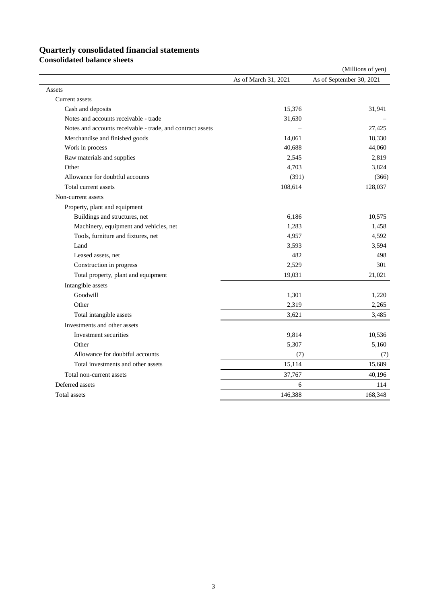### **Quarterly consolidated financial statements**

**Consolidated balance sheets**

|                                                            |                      | (Millions of yen)        |
|------------------------------------------------------------|----------------------|--------------------------|
|                                                            | As of March 31, 2021 | As of September 30, 2021 |
| Assets                                                     |                      |                          |
| <b>Current</b> assets                                      |                      |                          |
| Cash and deposits                                          | 15,376               | 31,941                   |
| Notes and accounts receivable - trade                      | 31,630               |                          |
| Notes and accounts receivable - trade, and contract assets |                      | 27,425                   |
| Merchandise and finished goods                             | 14,061               | 18,330                   |
| Work in process                                            | 40,688               | 44,060                   |
| Raw materials and supplies                                 | 2,545                | 2,819                    |
| Other                                                      | 4,703                | 3,824                    |
| Allowance for doubtful accounts                            | (391)                | (366)                    |
| Total current assets                                       | 108,614              | 128,037                  |
| Non-current assets                                         |                      |                          |
| Property, plant and equipment                              |                      |                          |
| Buildings and structures, net                              | 6,186                | 10,575                   |
| Machinery, equipment and vehicles, net                     | 1,283                | 1,458                    |
| Tools, furniture and fixtures, net                         | 4,957                | 4,592                    |
| Land                                                       | 3,593                | 3,594                    |
| Leased assets, net                                         | 482                  | 498                      |
| Construction in progress                                   | 2,529                | 301                      |
| Total property, plant and equipment                        | 19,031               | 21,021                   |
| Intangible assets                                          |                      |                          |
| Goodwill                                                   | 1,301                | 1,220                    |
| Other                                                      | 2,319                | 2,265                    |
| Total intangible assets                                    | 3,621                | 3,485                    |
| Investments and other assets                               |                      |                          |
| Investment securities                                      | 9,814                | 10,536                   |
| Other                                                      | 5,307                | 5,160                    |
| Allowance for doubtful accounts                            | (7)                  | (7)                      |
| Total investments and other assets                         | 15,114               | 15,689                   |
| Total non-current assets                                   | 37,767               | 40,196                   |
| Deferred assets                                            | 6                    | 114                      |
| Total assets                                               | 146,388              | 168,348                  |
|                                                            |                      |                          |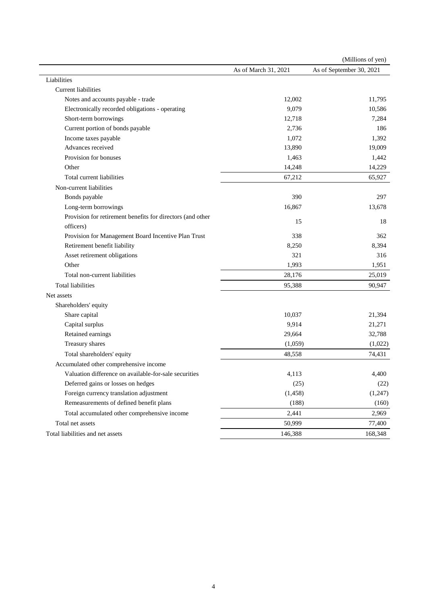| As of September 30, 2021<br>As of March 31, 2021<br>Liabilities<br>Current liabilities<br>Notes and accounts payable - trade<br>12,002<br>11,795<br>9,079<br>Electronically recorded obligations - operating<br>10,586<br>Short-term borrowings<br>12,718<br>7,284<br>Current portion of bonds payable<br>2,736<br>186<br>Income taxes payable<br>1,072<br>1,392<br>Advances received<br>13,890<br>19,009<br>Provision for bonuses<br>1,463<br>1,442<br>14,248<br>14,229<br>Other<br>67,212<br>65,927<br>Total current liabilities<br>Non-current liabilities<br>Bonds payable<br>390<br>297<br>16,867<br>Long-term borrowings<br>13,678<br>Provision for retirement benefits for directors (and other<br>15<br>18<br>officers) |
|---------------------------------------------------------------------------------------------------------------------------------------------------------------------------------------------------------------------------------------------------------------------------------------------------------------------------------------------------------------------------------------------------------------------------------------------------------------------------------------------------------------------------------------------------------------------------------------------------------------------------------------------------------------------------------------------------------------------------------|
|                                                                                                                                                                                                                                                                                                                                                                                                                                                                                                                                                                                                                                                                                                                                 |
|                                                                                                                                                                                                                                                                                                                                                                                                                                                                                                                                                                                                                                                                                                                                 |
|                                                                                                                                                                                                                                                                                                                                                                                                                                                                                                                                                                                                                                                                                                                                 |
|                                                                                                                                                                                                                                                                                                                                                                                                                                                                                                                                                                                                                                                                                                                                 |
|                                                                                                                                                                                                                                                                                                                                                                                                                                                                                                                                                                                                                                                                                                                                 |
|                                                                                                                                                                                                                                                                                                                                                                                                                                                                                                                                                                                                                                                                                                                                 |
|                                                                                                                                                                                                                                                                                                                                                                                                                                                                                                                                                                                                                                                                                                                                 |
|                                                                                                                                                                                                                                                                                                                                                                                                                                                                                                                                                                                                                                                                                                                                 |
|                                                                                                                                                                                                                                                                                                                                                                                                                                                                                                                                                                                                                                                                                                                                 |
|                                                                                                                                                                                                                                                                                                                                                                                                                                                                                                                                                                                                                                                                                                                                 |
|                                                                                                                                                                                                                                                                                                                                                                                                                                                                                                                                                                                                                                                                                                                                 |
|                                                                                                                                                                                                                                                                                                                                                                                                                                                                                                                                                                                                                                                                                                                                 |
|                                                                                                                                                                                                                                                                                                                                                                                                                                                                                                                                                                                                                                                                                                                                 |
|                                                                                                                                                                                                                                                                                                                                                                                                                                                                                                                                                                                                                                                                                                                                 |
|                                                                                                                                                                                                                                                                                                                                                                                                                                                                                                                                                                                                                                                                                                                                 |
|                                                                                                                                                                                                                                                                                                                                                                                                                                                                                                                                                                                                                                                                                                                                 |
|                                                                                                                                                                                                                                                                                                                                                                                                                                                                                                                                                                                                                                                                                                                                 |
| Provision for Management Board Incentive Plan Trust<br>338<br>362                                                                                                                                                                                                                                                                                                                                                                                                                                                                                                                                                                                                                                                               |
| Retirement benefit liability<br>8,250<br>8,394                                                                                                                                                                                                                                                                                                                                                                                                                                                                                                                                                                                                                                                                                  |
| 316<br>Asset retirement obligations<br>321                                                                                                                                                                                                                                                                                                                                                                                                                                                                                                                                                                                                                                                                                      |
| Other<br>1,993<br>1,951                                                                                                                                                                                                                                                                                                                                                                                                                                                                                                                                                                                                                                                                                                         |
| 28,176<br>25,019<br>Total non-current liabilities                                                                                                                                                                                                                                                                                                                                                                                                                                                                                                                                                                                                                                                                               |
| 90,947<br><b>Total liabilities</b><br>95,388                                                                                                                                                                                                                                                                                                                                                                                                                                                                                                                                                                                                                                                                                    |
| Net assets                                                                                                                                                                                                                                                                                                                                                                                                                                                                                                                                                                                                                                                                                                                      |
| Shareholders' equity                                                                                                                                                                                                                                                                                                                                                                                                                                                                                                                                                                                                                                                                                                            |
| Share capital<br>10,037<br>21,394                                                                                                                                                                                                                                                                                                                                                                                                                                                                                                                                                                                                                                                                                               |
| 9,914<br>Capital surplus<br>21,271                                                                                                                                                                                                                                                                                                                                                                                                                                                                                                                                                                                                                                                                                              |
| Retained earnings<br>29,664<br>32,788                                                                                                                                                                                                                                                                                                                                                                                                                                                                                                                                                                                                                                                                                           |
| Treasury shares<br>(1,059)<br>(1,022)                                                                                                                                                                                                                                                                                                                                                                                                                                                                                                                                                                                                                                                                                           |
| Total shareholders' equity<br>48,558<br>74,431                                                                                                                                                                                                                                                                                                                                                                                                                                                                                                                                                                                                                                                                                  |
| Accumulated other comprehensive income                                                                                                                                                                                                                                                                                                                                                                                                                                                                                                                                                                                                                                                                                          |
| Valuation difference on available-for-sale securities<br>4,113<br>4,400                                                                                                                                                                                                                                                                                                                                                                                                                                                                                                                                                                                                                                                         |
| Deferred gains or losses on hedges<br>(25)<br>(22)                                                                                                                                                                                                                                                                                                                                                                                                                                                                                                                                                                                                                                                                              |
| Foreign currency translation adjustment<br>(1, 458)<br>(1,247)                                                                                                                                                                                                                                                                                                                                                                                                                                                                                                                                                                                                                                                                  |
| Remeasurements of defined benefit plans<br>(188)<br>(160)                                                                                                                                                                                                                                                                                                                                                                                                                                                                                                                                                                                                                                                                       |
| Total accumulated other comprehensive income<br>2,441<br>2,969                                                                                                                                                                                                                                                                                                                                                                                                                                                                                                                                                                                                                                                                  |
| Total net assets<br>50,999<br>77,400                                                                                                                                                                                                                                                                                                                                                                                                                                                                                                                                                                                                                                                                                            |
| Total liabilities and net assets<br>168,348<br>146,388                                                                                                                                                                                                                                                                                                                                                                                                                                                                                                                                                                                                                                                                          |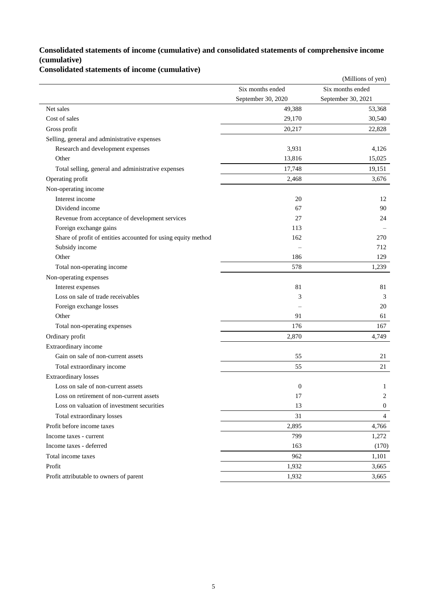### **Consolidated statements of income (cumulative) and consolidated statements of comprehensive income (cumulative)**

**Consolidated statements of income (cumulative)**

|                                                               |                    | (Millions of yen)  |
|---------------------------------------------------------------|--------------------|--------------------|
|                                                               | Six months ended   | Six months ended   |
|                                                               | September 30, 2020 | September 30, 2021 |
| Net sales                                                     | 49,388             | 53,368             |
| Cost of sales                                                 | 29,170             | 30,540             |
| Gross profit                                                  | 20,217             | 22,828             |
| Selling, general and administrative expenses                  |                    |                    |
| Research and development expenses                             | 3,931              | 4,126              |
| Other                                                         | 13,816             | 15,025             |
| Total selling, general and administrative expenses            | 17,748             | 19,151             |
| Operating profit                                              | 2,468              | 3,676              |
| Non-operating income                                          |                    |                    |
| Interest income                                               | 20                 | 12                 |
| Dividend income                                               | 67                 | 90                 |
| Revenue from acceptance of development services               | 27                 | 24                 |
| Foreign exchange gains                                        | 113                |                    |
| Share of profit of entities accounted for using equity method | 162                | 270                |
| Subsidy income                                                |                    | 712                |
| Other                                                         | 186                | 129                |
| Total non-operating income                                    | 578                | 1,239              |
| Non-operating expenses                                        |                    |                    |
| Interest expenses                                             | 81                 | 81                 |
| Loss on sale of trade receivables                             | 3                  | 3                  |
| Foreign exchange losses                                       |                    | 20                 |
| Other                                                         | 91                 | 61                 |
| Total non-operating expenses                                  | 176                | 167                |
| Ordinary profit                                               | 2,870              | 4,749              |
| Extraordinary income                                          |                    |                    |
| Gain on sale of non-current assets                            | 55                 | 21                 |
| Total extraordinary income                                    | 55                 | 21                 |
| <b>Extraordinary losses</b>                                   |                    |                    |
| Loss on sale of non-current assets                            | $\boldsymbol{0}$   | 1                  |
| Loss on retirement of non-current assets                      | 17                 | $\overline{2}$     |
| Loss on valuation of investment securities                    | 13                 | $\mathbf{0}$       |
| Total extraordinary losses                                    | 31                 | $\overline{4}$     |
| Profit before income taxes                                    | 2,895              | 4,766              |
| Income taxes - current                                        | 799                | 1,272              |
| Income taxes - deferred                                       | 163                | (170)              |
| Total income taxes                                            | 962                | 1,101              |
| Profit                                                        | 1,932              | 3,665              |
| Profit attributable to owners of parent                       | 1,932              | 3,665              |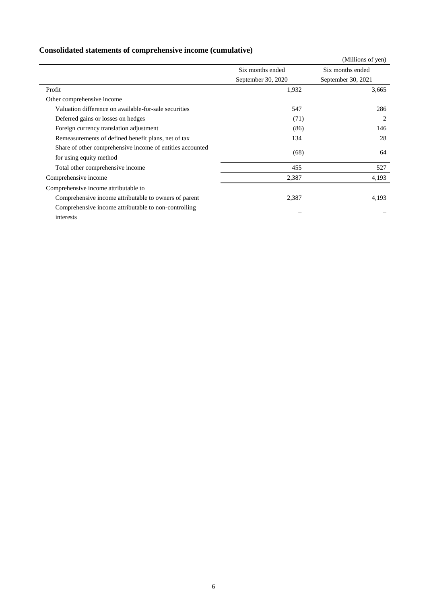## **Consolidated statements of comprehensive income (cumulative)**

|                                                           |                    | (Millions of yen)  |
|-----------------------------------------------------------|--------------------|--------------------|
|                                                           | Six months ended   | Six months ended   |
|                                                           | September 30, 2020 | September 30, 2021 |
| Profit                                                    | 1,932              | 3,665              |
| Other comprehensive income                                |                    |                    |
| Valuation difference on available-for-sale securities     | 547                | 286                |
| Deferred gains or losses on hedges                        | (71)               | 2                  |
| Foreign currency translation adjustment                   | (86)               | 146                |
| Remeasurements of defined benefit plans, net of tax       | 134                | 28                 |
| Share of other comprehensive income of entities accounted | (68)               | 64                 |
| for using equity method                                   |                    |                    |
| Total other comprehensive income                          | 455                | 527                |
| Comprehensive income                                      | 2,387              | 4,193              |
| Comprehensive income attributable to                      |                    |                    |
| Comprehensive income attributable to owners of parent     | 2,387              | 4,193              |
| Comprehensive income attributable to non-controlling      |                    |                    |
| interests                                                 |                    |                    |